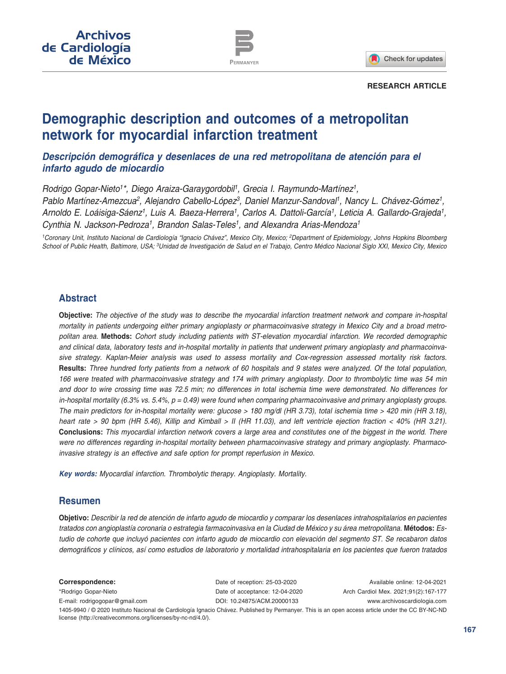

Check for updates

#### **RESEARCH ARTICLE**

# **Demographic description and outcomes of a metropolitan network for myocardial infarction treatment**

*Descripción demográfica y desenlaces de una red metropolitana de atención para el infarto agudo de miocardio*

*Rodrigo Gopar-Nieto1\*, Diego Araiza-Garaygordobil1, Grecia I. Raymundo-Martínez1, Pablo Martínez-Amezcua2, Alejandro Cabello-López3, Daniel Manzur-Sandoval1, Nancy L. Chávez-Gómez1, Arnoldo E. Loáisiga-Sáenz1, Luis A. Baeza-Herrera1, Carlos A. Dattoli-García1, Leticia A. Gallardo-Grajeda1, Cynthia N. Jackson-Pedroza1, Brandon Salas-Teles1, and Alexandra Arias-Mendoza1*

*1Coronary Unit, Instituto Nacional de Cardiología "Ignacio Chávez", Mexico City, Mexico; 2Department of Epidemiology, Johns Hopkins Bloomberg School of Public Health, Baltimore, USA; 3Unidad de Investigación de Salud en el Trabajo, Centro Médico Nacional Siglo XXI, Mexico City, Mexico*

# **Abstract**

**Objective:** *The objective of the study was to describe the myocardial infarction treatment network and compare in-hospital mortality in patients undergoing either primary angioplasty or pharmacoinvasive strategy in Mexico City and a broad metropolitan area.* **Methods:** *Cohort study including patients with ST-elevation myocardial infarction. We recorded demographic and clinical data, laboratory tests and in-hospital mortality in patients that underwent primary angioplasty and pharmacoinvasive strategy. Kaplan-Meier analysis was used to assess mortality and Cox-regression assessed mortality risk factors.*  **Results:** *Three hundred forty patients from a network of 60 hospitals and 9 states were analyzed. Of the total population, 166 were treated with pharmacoinvasive strategy and 174 with primary angioplasty. Door to thrombolytic time was 54 min and door to wire crossing time was 72.5 min; no differences in total ischemia time were demonstrated. No differences for in-hospital mortality (6.3% vs. 5.4%, p = 0.49) were found when comparing pharmacoinvasive and primary angioplasty groups. The main predictors for in-hospital mortality were: glucose > 180 mg/dl (HR 3.73), total ischemia time > 420 min (HR 3.18), heart rate > 90 bpm (HR 5.46), Killip and Kimball > II (HR 11.03), and left ventricle ejection fraction < 40% (HR 3.21).* **Conclusions:** *This myocardial infarction network covers a large area and constitutes one of the biggest in the world. There were no differences regarding in-hospital mortality between pharmacoinvasive strategy and primary angioplasty. Pharmacoinvasive strategy is an effective and safe option for prompt reperfusion in Mexico.*

*Key words: Myocardial infarction. Thrombolytic therapy. Angioplasty. Mortality.*

## **Resumen**

**Objetivo:** *Describir la red de atención de infarto agudo de miocardio y comparar los desenlaces intrahospitalarios en pacientes tratados con angioplastía coronaria o estrategia farmacoinvasiva en la Ciudad de México y su área metropolitana.* **Métodos:** *Estudio de cohorte que incluyó pacientes con infarto agudo de miocardio con elevación del segmento ST. Se recabaron datos demográficos y clínicos, así como estudios de laboratorio y mortalidad intrahospitalaria en los pacientes que fueron tratados* 

**Correspondence:** \*Rodrigo Gopar-Nieto E-mail: [rodrigogopar@gmail.com](mailto:rodrigogopar%40gmail.com?subject=) Available online: 12-04-2021 Arch Cardiol Mex. 2021;91(2):167-177 www.archivoscardiologia.com Date of reception: 25-03-2020 Date of acceptance: 12-04-2020 DOI: [10.24875/ACM.20000133](http://dx.doi.org/10.24875/ACM.20000133) 1405-9940 / © 2020 Instituto Nacional de Cardiología Ignacio Chávez. Published by Permanyer. This is an open access article under the CC BY-NC-ND license ([http://creativecommons.org/licenses/by-nc-nd/4.0/\)](http://creativecommons.org/licenses/by-nc-nd/4.0/).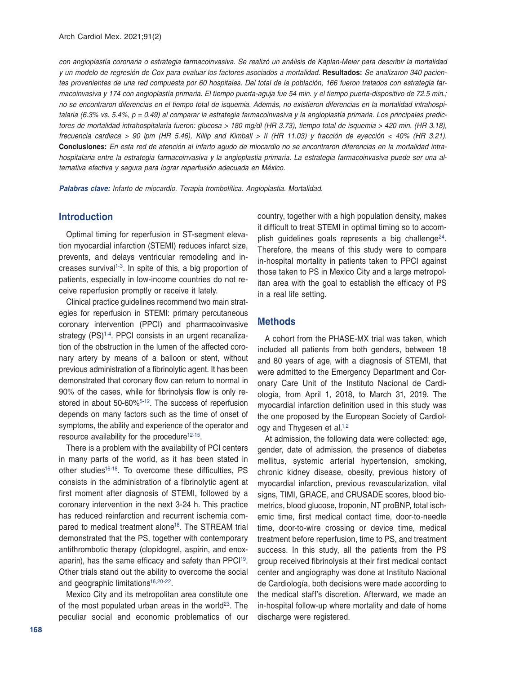*con angioplastía coronaria o estrategia farmacoinvasiva. Se realizó un análisis de Kaplan-Meier para describir la mortalidad y un modelo de regresión de Cox para evaluar los factores asociados a mortalidad.* **Resultados:** *Se analizaron 340 pacientes provenientes de una red compuesta por 60 hospitales. Del total de la población, 166 fueron tratados con estrategia farmacoinvasiva y 174 con angioplastía primaria. El tiempo puerta-aguja fue 54 min. y el tiempo puerta-dispositivo de 72.5 min.; no se encontraron diferencias en el tiempo total de isquemia. Además, no existieron diferencias en la mortalidad intrahospitalaria (6.3% vs. 5.4%, p = 0.49) al comparar la estrategia farmacoinvasiva y la angioplastía primaria. Los principales predictores de mortalidad intrahospitalaria fueron: glucosa > 180 mg/dl (HR 3.73), tiempo total de isquemia > 420 min. (HR 3.18), frecuencia cardiaca > 90 lpm (HR 5.46), Killip and Kimball > II (HR 11.03) y fracción de eyección < 40% (HR 3.21).*  **Conclusiones:** *En esta red de atención al infarto agudo de miocardio no se encontraron diferencias en la mortalidad intrahospitalaria entre la estrategia farmacoinvasiva y la angioplastia primaria. La estrategia farmacoinvasiva puede ser una alternativa efectiva y segura para lograr reperfusión adecuada en México.* 

*Palabras clave: Infarto de miocardio. Terapia trombolítica. Angioplastia. Mortalidad.*

## **Introduction**

Optimal timing for reperfusion in ST-segment elevation myocardial infarction (STEMI) reduces infarct size, prevents, and delays ventricular remodeling and increases survival<sup>1-3</sup>. In spite of this, a big proportion of patients, especially in low-income countries do not receive reperfusion promptly or receive it lately.

Clinical practice guidelines recommend two main strategies for reperfusion in STEMI: primary percutaneous coronary intervention (PPCI) and pharmacoinvasive strategy (PS)<sup>1-4</sup>. PPCI consists in an urgent recanalization of the obstruction in the lumen of the affected coronary artery by means of a balloon or stent, without previous administration of a fibrinolytic agent. It has been demonstrated that coronary flow can return to normal in 90% of the cases, while for fibrinolysis flow is only restored in about 50-60[%5-](#page-9-3)[12](#page-9-4). The success of reperfusion depends on many factors such as the time of onset of symptoms, the ability and experience of the operator and resource availability for the procedure<sup>12-15</sup>.

There is a problem with the availability of PCI centers in many parts of the world, as it has been stated in other studies<sup>16-18</sup>. To overcome these difficulties, PS consists in the administration of a fibrinolytic agent at first moment after diagnosis of STEMI, followed by a coronary intervention in the next 3-24 h. This practice has reduced reinfarction and recurrent ischemia compared to medical treatment alone<sup>18</sup>. The STREAM trial demonstrated that the PS, together with contemporary antithrombotic therapy (clopidogrel, aspirin, and enoxaparin), has the same efficacy and safety than PPCI<sup>19</sup>. Other trials stand out the ability to overcome the social and geographic limitations<sup>16[,20](#page-10-3)[-22](#page-10-4)</sup>.

Mexico City and its metropolitan area constitute one of the most populated urban areas in the world<sup>[23](#page-10-5)</sup>. The peculiar social and economic problematics of our

country, together with a high population density, makes it difficult to treat STEMI in optimal timing so to accomplish guidelines goals represents a big challenge $24$ . Therefore, the means of this study were to compare in-hospital mortality in patients taken to PPCI against those taken to PS in Mexico City and a large metropolitan area with the goal to establish the efficacy of PS in a real life setting.

#### **Methods**

A cohort from the PHASE-MX trial was taken, which included all patients from both genders, between 18 and 80 years of age, with a diagnosis of STEMI, that were admitted to the Emergency Department and Coronary Care Unit of the Instituto Nacional de Cardiología, from April 1, 2018, to March 31, 2019. The myocardial infarction definition used in this study was the one proposed by the European Society of Cardiol-ogy and Thygesen et al.<sup>1[,2](#page-9-6)</sup>

At admission, the following data were collected: age, gender, date of admission, the presence of diabetes mellitus, systemic arterial hypertension, smoking, chronic kidney disease, obesity, previous history of myocardial infarction, previous revascularization, vital signs, TIMI, GRACE, and CRUSADE scores, blood biometrics, blood glucose, troponin, NT proBNP, total ischemic time, first medical contact time, door-to-needle time, door-to-wire crossing or device time, medical treatment before reperfusion, time to PS, and treatment success. In this study, all the patients from the PS group received fibrinolysis at their first medical contact center and angiography was done at Instituto Nacional de Cardiología, both decisions were made according to the medical staff's discretion. Afterward, we made an in-hospital follow-up where mortality and date of home discharge were registered.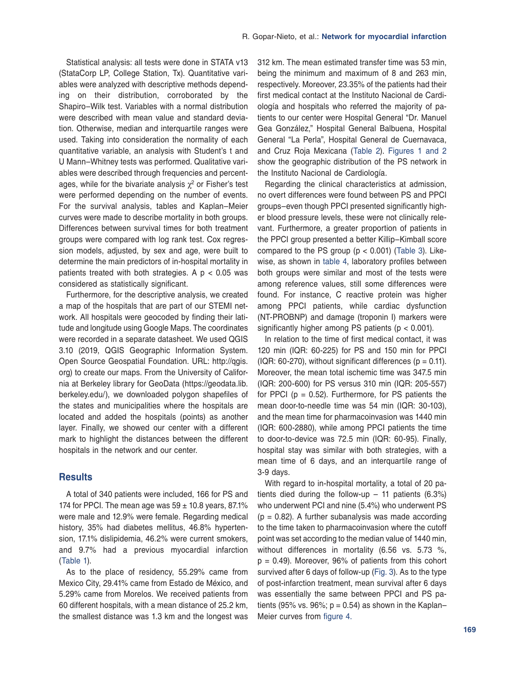Statistical analysis: all tests were done in STATA v13 (StataCorp LP, College Station, Tx). Quantitative variables were analyzed with descriptive methods depending on their distribution, corroborated by the Shapiro–Wilk test. Variables with a normal distribution were described with mean value and standard deviation. Otherwise, median and interquartile ranges were used. Taking into consideration the normality of each quantitative variable, an analysis with Student's t and U Mann–Whitney tests was performed. Qualitative variables were described through frequencies and percentages, while for the bivariate analysis  $\chi^2$  or Fisher's test were performed depending on the number of events. For the survival analysis, tables and Kaplan–Meier curves were made to describe mortality in both groups. Differences between survival times for both treatment groups were compared with log rank test. Cox regression models, adjusted, by sex and age, were built to determine the main predictors of in-hospital mortality in patients treated with both strategies. A  $p < 0.05$  was considered as statistically significant.

Furthermore, for the descriptive analysis, we created a map of the hospitals that are part of our STEMI network. All hospitals were geocoded by finding their latitude and longitude using Google Maps. The coordinates were recorded in a separate datasheet. We used QGIS 3.10 (2019, QGIS Geographic Information System. Open Source Geospatial Foundation. URL: http://qgis. org) to create our maps. From the University of California at Berkeley library for GeoData (https://geodata.lib. berkeley.edu/), we downloaded polygon shapefiles of the states and municipalities where the hospitals are located and added the hospitals (points) as another layer. Finally, we showed our center with a different mark to highlight the distances between the different hospitals in the network and our center.

## **Results**

A total of 340 patients were included, 166 for PS and 174 for PPCI. The mean age was  $59 \pm 10.8$  years, 87.1% were male and 12.9% were female. Regarding medical history, 35% had diabetes mellitus, 46.8% hypertension, 17.1% dislipidemia, 46.2% were current smokers, and 9.7% had a previous myocardial infarction ([Table](#page-3-0) 1).

As to the place of residency, 55.29% came from Mexico City, 29.41% came from Estado de México, and 5.29% came from Morelos. We received patients from 60 different hospitals, with a mean distance of 25.2 km, the smallest distance was 1.3 km and the longest was 312 km. The mean estimated transfer time was 53 min, being the minimum and maximum of 8 and 263 min, respectively. Moreover, 23.35% of the patients had their first medical contact at the Instituto Nacional de Cardiología and hospitals who referred the majority of patients to our center were Hospital General "Dr. Manuel Gea González," Hospital General Balbuena, Hospital General "La Perla", Hospital General de Cuernavaca, and Cruz Roja Mexicana ([Table](#page-4-0) 2). [Figures](#page-3-1) 1 [and 2](#page-6-0)  show the geographic distribution of the PS network in the Instituto Nacional de Cardiología.

Regarding the clinical characteristics at admission, no overt differences were found between PS and PPCI groups–even though PPCI presented significantly higher blood pressure levels, these were not clinically relevant. Furthermore, a greater proportion of patients in the PPCI group presented a better Killip–Kimball score compared to the PS group ( $p < 0.001$ ) ([Table](#page-6-1) 3). Likewise, as shown in [table 4](#page-7-0), laboratory profiles between both groups were similar and most of the tests were among reference values, still some differences were found. For instance, C reactive protein was higher among PPCI patients, while cardiac dysfunction (NT-PROBNP) and damage (troponin I) markers were significantly higher among PS patients ( $p < 0.001$ ).

In relation to the time of first medical contact, it was 120 min (IQR: 60-225) for PS and 150 min for PPCI  $(IQR: 60-270)$ , without significant differences  $(p = 0.11)$ . Moreover, the mean total ischemic time was 347.5 min (IQR: 200-600) for PS versus 310 min (IQR: 205-557) for PPCI ( $p = 0.52$ ). Furthermore, for PS patients the mean door-to-needle time was 54 min (IQR: 30-103), and the mean time for pharmacoinvasion was 1440 min (IQR: 600-2880), while among PPCI patients the time to door-to-device was 72.5 min (IQR: 60-95). Finally, hospital stay was similar with both strategies, with a mean time of 6 days, and an interquartile range of 3-9 days.

With regard to in-hospital mortality, a total of 20 patients died during the follow-up  $-11$  patients (6.3%) who underwent PCI and nine (5.4%) who underwent PS  $(p = 0.82)$ . A further subanalysis was made according to the time taken to pharmacoinvasion where the cutoff point was set according to the median value of 1440 min, without differences in mortality (6.56 vs. 5.73 %,  $p = 0.49$ ). Moreover, 96% of patients from this cohort survived after 6 days of follow-up ([Fig.](#page-7-0) 3). As to the type of post-infarction treatment, mean survival after 6 days was essentially the same between PPCI and PS patients (95% vs. 96%;  $p = 0.54$ ) as shown in the Kaplan– Meier curves from [figure 4.](#page-8-0)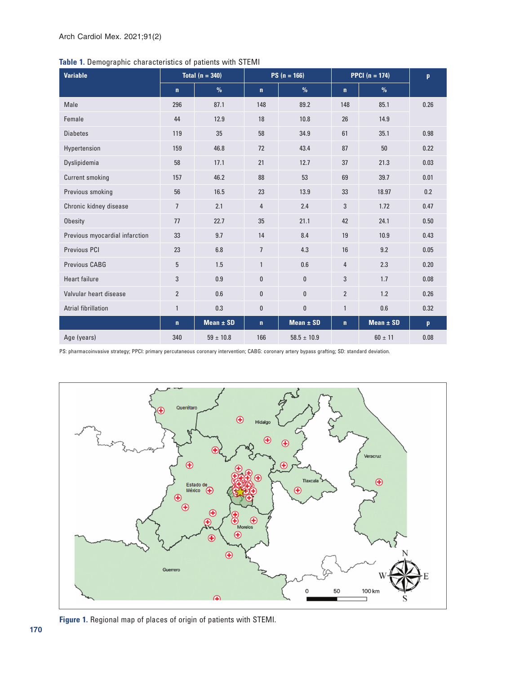<span id="page-3-1"></span><span id="page-3-0"></span>

| Table 1. Demographic characteristics of patients with STEMI |  |  |  |  |  |  |
|-------------------------------------------------------------|--|--|--|--|--|--|
|-------------------------------------------------------------|--|--|--|--|--|--|

| <b>Variable</b>                | Total $(n = 340)$ |               |                | $PS(n = 166)$   | <b>PPCI</b> $(n = 174)$ | $\mathbf{p}$  |              |
|--------------------------------|-------------------|---------------|----------------|-----------------|-------------------------|---------------|--------------|
|                                | $\mathbf n$       | $\%$          | $\mathbf{n}$   | $\%$            | $\mathbf{n}$            | $\%$          |              |
| Male                           | 296               | 87.1          | 148            | 89.2            | 148                     | 85.1          | 0.26         |
| Female                         | 44                | 12.9          | 18             | 10.8            | 26                      | 14.9          |              |
| <b>Diabetes</b>                | 119               | 35            | 58             | 34.9            | 61                      | 35.1          | 0.98         |
| Hypertension                   | 159               | 46.8          | 72             | 43.4            | 87                      | 50            | 0.22         |
| Dyslipidemia                   | 58                | 17.1          | 21             | 12.7            | 37                      | 21.3          | 0.03         |
| <b>Current smoking</b>         | 157               | 46.2          | 88             | 53              | 69                      | 39.7          | 0.01         |
| Previous smoking               | 56                | 16.5          | 23             | 13.9            | 33                      | 18.97         | 0.2          |
| Chronic kidney disease         | $\overline{7}$    | 2.1           | $\overline{4}$ | 2.4             | 3                       | 1.72          | 0.47         |
| <b>Obesity</b>                 | 77                | 22.7          | 35             | 21.1            | 42                      | 24.1          | 0.50         |
| Previous myocardial infarction | 33                | 9.7           | 14             | 8.4             | 19                      | 10.9          | 0.43         |
| <b>Previous PCI</b>            | 23                | 6.8           | $\overline{7}$ | 4.3             | 16                      | 9.2           | 0.05         |
| Previous CABG                  | 5                 | 1.5           | $\mathbf{1}$   | 0.6             | 4                       | 2.3           | 0.20         |
| <b>Heart failure</b>           | 3                 | 0.9           | 0              | $\mathbf{0}$    | 3                       | 1.7           | 0.08         |
| Valvular heart disease         | $\overline{2}$    | 0.6           | 0              | $\mathbf{0}$    | $\overline{2}$          | 1.2           | 0.26         |
| <b>Atrial fibrillation</b>     | 1                 | 0.3           | 0              | $\bf{0}$        | 1                       | 0.6           | 0.32         |
|                                | $\mathbf{n}$      | Mean $\pm$ SD | $\mathbf{n}$   | Mean $\pm$ SD   | $\mathbf{n}$            | Mean $\pm$ SD | $\mathbf{p}$ |
| Age (years)                    | 340               | $59 \pm 10.8$ | 166            | $58.5 \pm 10.9$ |                         | $60 \pm 11$   | 0.08         |

PS: pharmacoinvasive strategy; PPCI: primary percutaneous coronary intervention; CABG: coronary artery bypass grafting; SD: standard deviation.



**Figure 1.** Regional map of places of origin of patients with STEMI.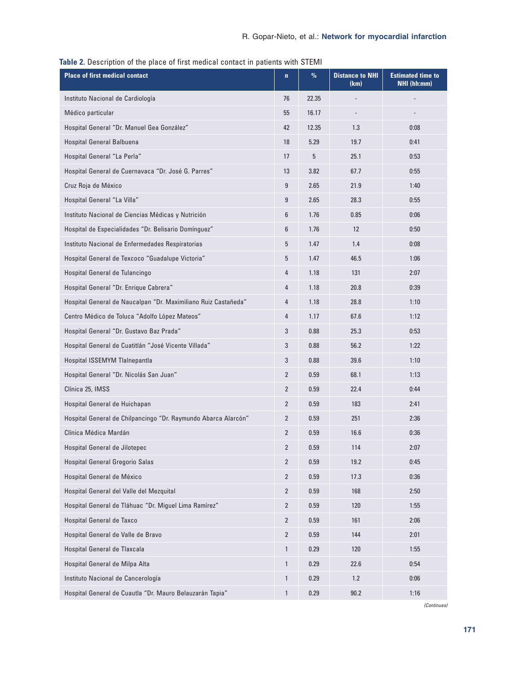| <b>Place of first medical contact</b>                          | $\mathbf n$    | $\%$  | <b>Distance to NHI</b><br>(km) | <b>Estimated time to</b><br>NHI (hh:mm) |
|----------------------------------------------------------------|----------------|-------|--------------------------------|-----------------------------------------|
| Instituto Nacional de Cardiología                              | 76             | 22.35 |                                |                                         |
| Médico particular                                              | 55             | 16.17 |                                |                                         |
| Hospital General "Dr. Manuel Gea González"                     | 42             | 12.35 | 1.3                            | 0:08                                    |
| Hospital General Balbuena                                      | 18             | 5.29  | 19.7                           | 0:41                                    |
| Hospital General "La Perla"                                    | 17             | 5     | 25.1                           | 0:53                                    |
| Hospital General de Cuernavaca "Dr. José G. Parres"            | 13             | 3.82  | 67.7                           | 0:55                                    |
| Cruz Roja de México                                            | 9              | 2.65  | 21.9                           | 1:40                                    |
| Hospital General "La Villa"                                    | 9              | 2.65  | 28.3                           | 0:55                                    |
| Instituto Nacional de Ciencias Médicas y Nutrición             | 6              | 1.76  | 0.85                           | 0:06                                    |
| Hospital de Especialidades "Dr. Belisario Domínguez"           | 6              | 1.76  | 12                             | 0:50                                    |
| Instituto Nacional de Enfermedades Respiratorias               | 5              | 1.47  | 1.4                            | 0:08                                    |
| Hospital General de Texcoco "Guadalupe Victoria"               | 5              | 1.47  | 46.5                           | 1:06                                    |
| Hospital General de Tulancingo                                 | 4              | 1.18  | 131                            | 2:07                                    |
| Hospital General "Dr. Enrique Cabrera"                         | 4              | 1.18  | 20.8                           | 0:39                                    |
| Hospital General de Naucalpan "Dr. Maximiliano Ruiz Castañeda" | 4              | 1.18  | 28.8                           | 1:10                                    |
| Centro Médico de Toluca "Adolfo López Mateos"                  | 4              | 1.17  | 67.6                           | 1:12                                    |
| Hospital General "Dr. Gustavo Baz Prada"                       | 3              | 0.88  | 25.3                           | 0:53                                    |
| Hospital General de Cuatitlán "José Vicente Villada"           | 3              | 0.88  | 56.2                           | 1:22                                    |
| Hospital ISSEMYM Tlalnepantla                                  | 3              | 0.88  | 39.6                           | 1:10                                    |
| Hospital General "Dr. Nicolás San Juan"                        | $\overline{2}$ | 0.59  | 68.1                           | 1:13                                    |
| Clínica 25, IMSS                                               | $\overline{2}$ | 0.59  | 22.4                           | 0:44                                    |
| Hospital General de Huichapan                                  | 2              | 0.59  | 183                            | 2:41                                    |
| Hospital General de Chilpancingo "Dr. Raymundo Abarca Alarcón" | 2              | 0.59  | 251                            | 2:36                                    |
| Clínica Médica Mardán                                          | 2              | 0.59  | 16.6                           | 0:36                                    |
| Hospital General de Jilotepec                                  | $\mathbf{Z}$   | 0.59  | 114                            | 2:07                                    |
| Hospital General Gregorio Salas                                | $\overline{2}$ | 0.59  | 19.2                           | 0:45                                    |
| Hospital General de México                                     | 2              | 0.59  | 17.3                           | 0:36                                    |
| Hospital General del Valle del Mezquital                       | $\overline{2}$ | 0.59  | 168                            | 2:50                                    |
| Hospital General de Tláhuac "Dr. Miguel Lima Ramírez"          | $\overline{2}$ | 0.59  | 120                            | 1:55                                    |
| Hospital General de Taxco                                      | $\overline{2}$ | 0.59  | 161                            | 2:06                                    |
| Hospital General de Valle de Bravo                             | 2              | 0.59  | 144                            | 2:01                                    |
| Hospital General de Tlaxcala                                   | $\mathbf{1}$   | 0.29  | 120                            | 1:55                                    |
| Hospital General de Milpa Alta                                 | $\mathbf{1}$   | 0.29  | 22.6                           | 0:54                                    |
| Instituto Nacional de Cancerología                             | $\mathbf{1}$   | 0.29  | 1.2                            | 0:06                                    |
| Hospital General de Cuautla "Dr. Mauro Belauzarán Tapia"       | 1              | 0.29  | 90.2                           | 1:16                                    |

## <span id="page-4-0"></span>**Table 2.** Description of the place of first medical contact in patients with STEMI

*(Continues)*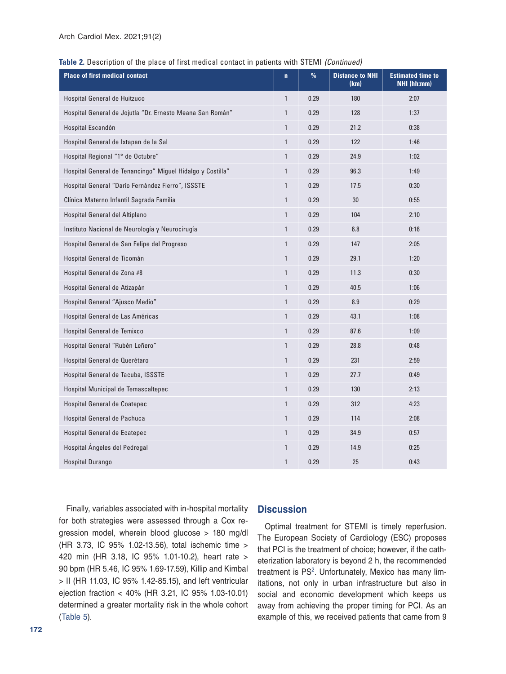**Table 2.** Description of the place of first medical contact in patients with STEMI *(Continued)*

| <b>Place of first medical contact</b>                      | $\mathbf n$  | $\%$ | <b>Distance to NHI</b><br>(km) | <b>Estimated time to</b><br>NHI (hh:mm) |
|------------------------------------------------------------|--------------|------|--------------------------------|-----------------------------------------|
| Hospital General de Huitzuco                               | $\mathbf{1}$ | 0.29 | 180                            | 2:07                                    |
| Hospital General de Jojutla "Dr. Ernesto Meana San Román"  | $\mathbf{1}$ | 0.29 | 128                            | 1:37                                    |
| Hospital Escandón                                          | $\mathbf{1}$ | 0.29 | 21.2                           | 0:38                                    |
| Hospital General de Ixtapan de la Sal                      | $\mathbf{1}$ | 0.29 | 122                            | 1:46                                    |
| Hospital Regional "1° de Octubre"                          | $\mathbf{1}$ | 0.29 | 24.9                           | 1:02                                    |
| Hospital General de Tenancingo" Miguel Hidalgo y Costilla" | $\mathbf{1}$ | 0.29 | 96.3                           | 1:49                                    |
| Hospital General "Darío Fernández Fierro", ISSSTE          | $\mathbf{1}$ | 0.29 | 17.5                           | 0:30                                    |
| Clínica Materno Infantil Sagrada Familia                   | $\mathbf{1}$ | 0.29 | 30                             | 0:55                                    |
| Hospital General del Altiplano                             | $\mathbf{1}$ | 0.29 | 104                            | 2:10                                    |
| Instituto Nacional de Neurología y Neurocirugía            | $\mathbf{1}$ | 0.29 | 6.8                            | 0:16                                    |
| Hospital General de San Felipe del Progreso                | $\mathbf{1}$ | 0.29 | 147                            | 2:05                                    |
| Hospital General de Ticomán                                | $\mathbf{1}$ | 0.29 | 29.1                           | 1:20                                    |
| Hospital General de Zona #8                                | $\mathbf{1}$ | 0.29 | 11.3                           | 0:30                                    |
| Hospital General de Atizapán                               | $\mathbf{1}$ | 0.29 | 40.5                           | 1:06                                    |
| Hospital General "Ajusco Medio"                            | $\mathbf{1}$ | 0.29 | 8.9                            | 0:29                                    |
| Hospital General de Las Américas                           | $\mathbf{1}$ | 0.29 | 43.1                           | 1:08                                    |
| Hospital General de Temixco                                | $\mathbf{1}$ | 0.29 | 87.6                           | 1:09                                    |
| Hospital General "Rubén Leñero"                            | $\mathbf{1}$ | 0.29 | 28.8                           | 0:48                                    |
| Hospital General de Querétaro                              | $\mathbf{1}$ | 0.29 | 231                            | 2:59                                    |
| Hospital General de Tacuba, ISSSTE                         | $\mathbf{1}$ | 0.29 | 27.7                           | 0:49                                    |
| Hospital Municipal de Temascaltepec                        | $\mathbf{1}$ | 0.29 | 130                            | 2:13                                    |
| Hospital General de Coatepec                               | $\mathbf{1}$ | 0.29 | 312                            | 4:23                                    |
| Hospital General de Pachuca                                | $\mathbf{1}$ | 0.29 | 114                            | 2:08                                    |
| Hospital General de Ecatepec                               | $\mathbf{1}$ | 0.29 | 34.9                           | 0:57                                    |
| Hospital Ángeles del Pedregal                              | $\mathbf{1}$ | 0.29 | 14.9                           | 0:25                                    |
| Hospital Durango                                           | $\mathbf{1}$ | 0.29 | 25                             | 0:43                                    |

Finally, variables associated with in-hospital mortality for both strategies were assessed through a Cox regression model, wherein blood glucose > 180 mg/dl (HR 3.73, IC 95% 1.02-13.56), total ischemic time > 420 min (HR 3.18, IC 95% 1.01-10.2), heart rate > 90 bpm (HR 5.46, IC 95% 1.69-17.59), Killip and Kimbal > II (HR 11.03, IC 95% 1.42-85.15), and left ventricular ejection fraction < 40% (HR 3.21, IC 95% 1.03-10.01) determined a greater mortality risk in the whole cohort ([Table](#page-8-1) 5).

#### **Discussion**

Optimal treatment for STEMI is timely reperfusion. The European Society of Cardiology (ESC) proposes that PCI is the treatment of choice; however, if the catheterization laboratory is beyond 2 h, the recommended treatment is PS<sup>[2](#page-9-6)</sup>. Unfortunately, Mexico has many limitations, not only in urban infrastructure but also in social and economic development which keeps us away from achieving the proper timing for PCI. As an example of this, we received patients that came from 9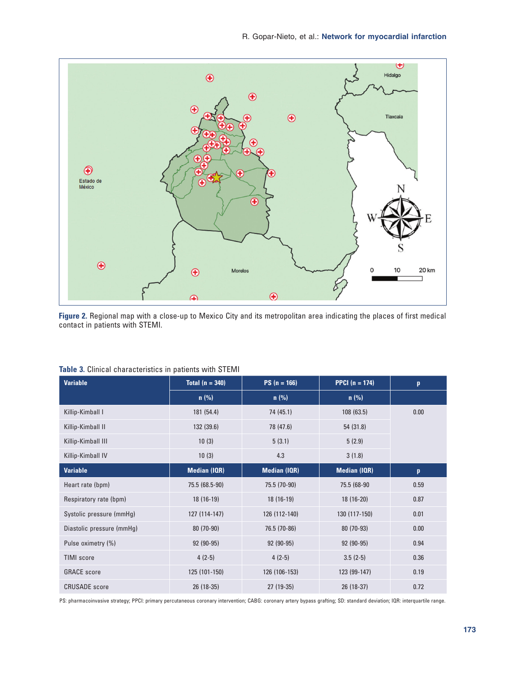<span id="page-6-0"></span>

**Figure 2.** Regional map with a close-up to Mexico City and its metropolitan area indicating the places of first medical contact in patients with STEMI.

| <b>Variable</b>           | Total $(n = 340)$<br>$PS(n = 166)$ |                     | <b>PPCI</b> $(n = 174)$ | p    |
|---------------------------|------------------------------------|---------------------|-------------------------|------|
|                           | $n$ (%)                            | $n$ (%)             | $n$ (%)                 |      |
| Killip-Kimball I          | 181 (54.4)                         | 74 (45.1)           | 108(63.5)               | 0.00 |
| Killip-Kimball II         | 132 (39.6)                         | 78 (47.6)           | 54 (31.8)               |      |
| Killip-Kimball III        | 10(3)                              | 5(3.1)              | 5(2.9)                  |      |
| Killip-Kimball IV         | 10(3)                              | 4.3                 | 3(1.8)                  |      |
| <b>Variable</b>           | <b>Median (IQR)</b>                | <b>Median (IQR)</b> | <b>Median (IQR)</b>     | p    |
| Heart rate (bpm)          | 75.5 (68.5-90)                     | 75.5 (70-90)        | 75.5 (68-90             | 0.59 |
| Respiratory rate (bpm)    | $18(16-19)$                        | $18(16-19)$         | $18(16-20)$             | 0.87 |
| Systolic pressure (mmHg)  | 127 (114-147)                      | 126 (112-140)       | 130 (117-150)           | 0.01 |
| Diastolic pressure (mmHg) | 80 (70-90)                         | 76.5 (70-86)        | 80 (70-93)              | 0.00 |
| Pulse oximetry (%)        | 92 (90-95)                         | 92 (90-95)          | 92 (90-95)              | 0.94 |
| <b>TIMI</b> score         | $4(2-5)$                           | $4(2-5)$            | $3.5(2-5)$              | 0.36 |
| <b>GRACE</b> score        | 125 (101-150)                      | 126 (106-153)       | 123 (99-147)            | 0.19 |
| <b>CRUSADE</b> score      | 26 (18-35)                         | $27(19-35)$         | 26 (18-37)              | 0.72 |

#### <span id="page-6-1"></span>**Table 3.** Clinical characteristics in patients with STEMI

PS: pharmacoinvasive strategy; PPCI: primary percutaneous coronary intervention; CABG: coronary artery bypass grafting; SD: standard deviation; IQR: interquartile range.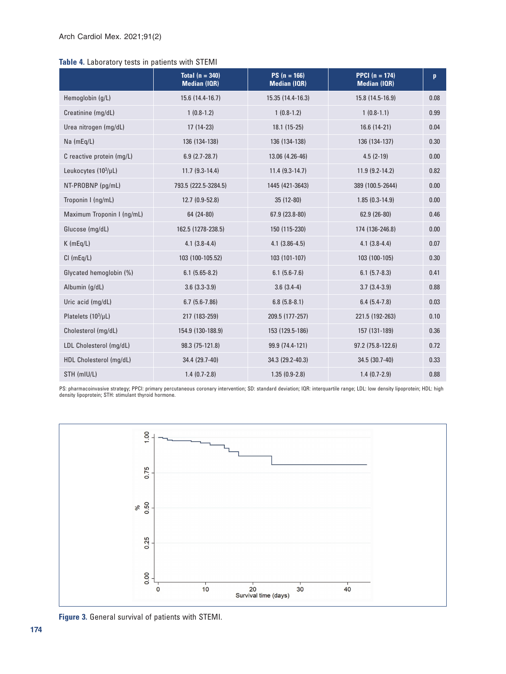## <span id="page-7-0"></span>**Table 4.** Laboratory tests in patients with STEMI

|                            | Total $(n = 340)$<br><b>Median (IQR)</b> | $PS (n = 166)$<br><b>Median (IQR)</b> | <b>PPCI</b> $(n = 174)$<br><b>Median (IQR)</b> | p    |
|----------------------------|------------------------------------------|---------------------------------------|------------------------------------------------|------|
| Hemoglobin (g/L)           | 15.6 (14.4-16.7)                         | 15.35 (14.4-16.3)                     | 15.8 (14.5-16.9)                               | 0.08 |
| Creatinine (mg/dL)         | $1(0.8-1.2)$                             | $1(0.8-1.2)$                          | $1(0.8-1.1)$                                   | 0.99 |
| Urea nitrogen (mg/dL)      | $17(14-23)$                              | $18.1(15-25)$                         | 16.6 (14-21)                                   | 0.04 |
| $Na$ (mEq/L)               | 136 (134-138)                            | 136 (134-138)                         | 136 (134-137)                                  | 0.30 |
| C reactive protein (mq/L)  | $6.9(2.7-28.7)$                          | 13.06 (4.26-46)                       | $4.5(2-19)$                                    | 0.00 |
| Leukocytes (103/µL)        | $11.7(9.3-14.4)$                         | $11.4(9.3-14.7)$                      | $11.9(9.2-14.2)$                               | 0.82 |
| NT-PROBNP (pg/mL)          | 793.5 (222.5-3284.5)                     | 1445 (421-3643)                       | 389 (100.5-2644)                               | 0.00 |
| Troponin I (ng/mL)         | 12.7 (0.9-52.8)                          | $35(12-80)$                           | $1.85(0.3-14.9)$                               | 0.00 |
| Maximum Troponin I (ng/mL) | 64 (24-80)                               | $67.9(23.8-80)$                       | $62.9(26-80)$                                  | 0.46 |
| Glucose (mg/dL)            | 162.5 (1278-238.5)                       | 150 (115-230)                         | 174 (136-246.8)                                | 0.00 |
| $K$ (mEq/L)                | $4.1(3.8-4.4)$                           | $4.1(3.86-4.5)$                       | $4.1(3.8-4.4)$                                 | 0.07 |
| $Cl$ (mEq/L)               | 103 (100-105.52)                         | 103 (101-107)                         | 103 (100-105)                                  | 0.30 |
| Glycated hemoglobin (%)    | $6.1(5.65-8.2)$                          | $6.1(5.6-7.6)$                        | $6.1(5.7-8.3)$                                 | 0.41 |
| Albumin (g/dL)             | $3.6$ $(3.3-3.9)$                        | $3.6(3.4-4)$                          | $3.7(3.4-3.9)$                                 | 0.88 |
| Uric acid (mg/dL)          | $6.7(5.6-7.86)$                          | $6.8(5.8-8.1)$                        | $6.4(5.4-7.8)$                                 | 0.03 |
| Platelets (103/µL)         | 217 (183-259)                            | 209.5 (177-257)                       | 221.5 (192-263)                                | 0.10 |
| Cholesterol (mg/dL)        | 154.9 (130-188.9)                        | 153 (129.5-186)                       | 157 (131-189)                                  | 0.36 |
| LDL Cholesterol (mg/dL)    | 98.3 (75-121.8)                          | 99.9 (74.4-121)                       | 97.2 (75.8-122.6)                              | 0.72 |
| HDL Cholesterol (mg/dL)    | 34.4 (29.7-40)                           | 34.3 (29.2-40.3)                      | 34.5 (30.7-40)                                 | 0.33 |
| STH (mIU/L)                | $1.4(0.7-2.8)$                           | $1.35(0.9-2.8)$                       | $1.4(0.7-2.9)$                                 | 0.88 |

PS: pharmacoinvasive strategy; PPCI: primary percutaneous coronary intervention; SD: standard deviation; IQR: interquartile range; LDL: low density lipoprotein; HDL: high<br>density lipoprotein; STH: stimulant thyroid hormone



**Figure 3.** General survival of patients with STEMI.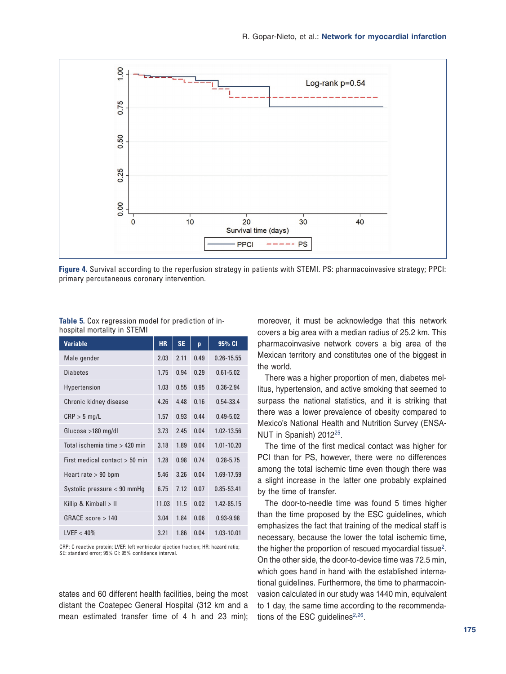<span id="page-8-0"></span>

**Figure 4.** Survival according to the reperfusion strategy in patients with STEMI. PS: pharmacoinvasive strategy; PPCI: primary percutaneous coronary intervention.

| <b>Variable</b>                  | <b>HR</b> | <b>SE</b> | p    | 95% CI         |
|----------------------------------|-----------|-----------|------|----------------|
| Male gender                      | 2.03      | 2.11      | 0.49 | $0.26 - 15.55$ |
| <b>Diabetes</b>                  | 1.75      | 0.94      | 0.29 | $0.61 - 5.02$  |
| Hypertension                     | 1.03      | 0.55      | 0.95 | $0.36 - 2.94$  |
| Chronic kidney disease           | 4.26      | 4.48      | 0.16 | 0.54-33.4      |
| $CRP > 5$ mg/L                   | 1.57      | 0.93      | 0.44 | $0.49 - 5.02$  |
| Glucose >180 mg/dl               | 3.73      | 2.45      | 0.04 | 1.02-13.56     |
| Total ischemia time > 420 min    | 3.18      | 1.89      | 0.04 | $1.01 - 10.20$ |
| First medical contact $> 50$ min | 1.28      | 0.98      | 0.74 | $0.28 - 5.75$  |
| Heart rate $> 90$ bpm            | 5.46      | 3.26      | 0.04 | 1.69-17.59     |
| Systolic pressure < 90 mmHq      | 6.75      | 7.12      | 0.07 | 0.85-53.41     |
| Killip & Kimball > II            | 11.03     | 11.5      | 0.02 | 1.42-85.15     |
| GRACF score > 140                | 3.04      | 1.84      | 0.06 | $0.93 - 9.98$  |
| IVFF < 40%                       | 3.21      | 1.86      | 0.04 | 1.03-10.01     |

<span id="page-8-1"></span>**Table 5.** Cox regression model for prediction of inhospital mortality in STEMI

CRP: C reactive protein; LVEF: left ventricular ejection fraction; HR: hazard ratio; SE: standard error; 95% CI: 95% confidence interval.

states and 60 different health facilities, being the most distant the Coatepec General Hospital (312 km and a mean estimated transfer time of 4 h and 23 min); moreover, it must be acknowledge that this network covers a big area with a median radius of 25.2 km. This pharmacoinvasive network covers a big area of the Mexican territory and constitutes one of the biggest in the world.

There was a higher proportion of men, diabetes mellitus, hypertension, and active smoking that seemed to surpass the national statistics, and it is striking that there was a lower prevalence of obesity compared to Mexico's National Health and Nutrition Survey (ENSA-NUT in Spanish) 2012[25.](#page-10-7)

The time of the first medical contact was higher for PCI than for PS, however, there were no differences among the total ischemic time even though there was a slight increase in the latter one probably explained by the time of transfer.

The door-to-needle time was found 5 times higher than the time proposed by the ESC guidelines, which emphasizes the fact that training of the medical staff is necessary, because the lower the total ischemic time, the higher the proportion of rescued myocardial tissue<sup>[2](#page-9-6)</sup>. On the other side, the door-to-device time was 72.5 min, which goes hand in hand with the established international guidelines. Furthermore, the time to pharmacoinvasion calculated in our study was 1440 min, equivalent to 1 day, the same time according to the recommendations of the ESC guidelines $2,26$  $2,26$ .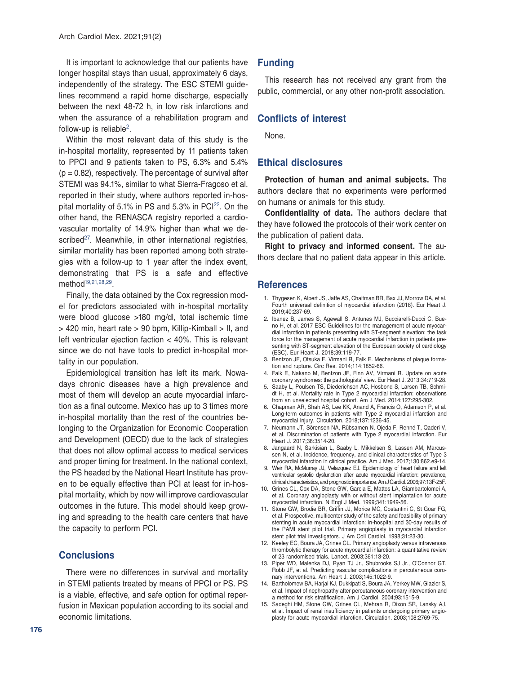It is important to acknowledge that our patients have longer hospital stays than usual, approximately 6 days, independently of the strategy. The ESC STEMI guidelines recommend a rapid home discharge, especially between the next 48-72 h, in low risk infarctions and when the assurance of a rehabilitation program and follow-up is reliable<sup>[2](#page-9-6)</sup>.

Within the most relevant data of this study is the in-hospital mortality, represented by 11 patients taken to PPCI and 9 patients taken to PS, 6.3% and 5.4%  $(p = 0.82)$ , respectively. The percentage of survival after STEMI was 94.1%, similar to what Sierra-Fragoso et al. reported in their study, where authors reported in-hospital mortality of 5.1% in PS and  $5.3\%$  in PCI $^{22}$ . On the other hand, the RENASCA registry reported a cardiovascular mortality of 14.9% higher than what we described<sup>27</sup>. Meanwhile, in other international registries, similar mortality has been reported among both strategies with a follow-up to 1 year after the index event, demonstrating that PS is a safe and effective method<sup>[19](#page-10-2),[21](#page-10-10)[,28](#page-10-11),29</sup>.

Finally, the data obtained by the Cox regression model for predictors associated with in-hospital mortality were blood glucose >180 mg/dl, total ischemic time > 420 min, heart rate > 90 bpm, Killip-Kimball > II, and left ventricular ejection faction < 40%. This is relevant since we do not have tools to predict in-hospital mortality in our population.

Epidemiological transition has left its mark. Nowadays chronic diseases have a high prevalence and most of them will develop an acute myocardial infarction as a final outcome. Mexico has up to 3 times more in-hospital mortality than the rest of the countries belonging to the Organization for Economic Cooperation and Development (OECD) due to the lack of strategies that does not allow optimal access to medical services and proper timing for treatment. In the national context, the PS headed by the National Heart Institute has proven to be equally effective than PCI at least for in-hospital mortality, which by now will improve cardiovascular outcomes in the future. This model should keep growing and spreading to the health care centers that have the capacity to perform PCI.

## **Conclusions**

There were no differences in survival and mortality in STEMI patients treated by means of PPCI or PS. PS is a viable, effective, and safe option for optimal reperfusion in Mexican population according to its social and economic limitations.

# **Funding**

This research has not received any grant from the public, commercial, or any other non-profit association.

## **Conflicts of interest**

None.

## **Ethical disclosures**

**Protection of human and animal subjects.** The authors declare that no experiments were performed on humans or animals for this study.

**Confidentiality of data.** The authors declare that they have followed the protocols of their work center on the publication of patient data.

**Right to privacy and informed consent.** The authors declare that no patient data appear in this article.

#### **References**

- <span id="page-9-0"></span>1. Thygesen K, Alpert JS, Jaffe AS, Chaitman BR, Bax JJ, Morrow DA, et al. Fourth universal definition of myocardial infarction (2018). Eur Heart J. 2019;40:237-69.
- <span id="page-9-6"></span>2. Ibanez B, James S, Agewall S, Antunes MJ, Bucciarelli-Ducci C, Bueno H, et al. 2017 ESC Guidelines for the management of acute myocardial infarction in patients presenting with ST-segment elevation: the task force for the management of acute myocardial infarction in patients presenting with ST-segment elevation of the European society of cardiology (ESC). Eur Heart J. 2018;39:119-77.
- <span id="page-9-1"></span>3. Bentzon JF, Otsuka F, Virmani R, Falk E. Mechanisms of plaque formation and rupture. Circ Res. 2014;114:1852-66.
- <span id="page-9-2"></span>4. Falk E, Nakano M, Bentzon JF, Finn AV, Virmani R. Update on acute coronary syndromes: the pathologists' view. Eur Heart J. 2013;34:719-28.
- <span id="page-9-3"></span>5. Saaby L, Poulsen TS, Diederichsen AC, Hosbond S, Larsen TB, Schmidt H, et al. Mortality rate in Type 2 myocardial infarction: observations from an unselected hospital cohort. Am J Med. 2014;127:295-302.
- 6. Chapman AR, Shah AS, Lee KK, Anand A, Francis O, Adamson P, et al. Long-term outcomes in patients with Type 2 myocardial infarction and myocardial injury. Circulation. 2018;137:1236-45.
- 7. Neumann JT, Sörensen NA, Rübsamen N, Ojeda F, Renné T, Qaderi V, et al. Discrimination of patients with Type 2 myocardial infarction. Eur Heart J. 2017;38:3514-20.
- 8. Jangaard N, Sarkisian L, Saaby L, Mikkelsen S, Lassen AM, Marcussen N, et al. Incidence, frequency, and clinical characteristics of Type 3 myocardial infarction in clinical practice. Am J Med. 2017;130:862.e9-14.
- 9. Weir RA, McMurray JJ, Velazquez EJ. Epidemiology of heart failure and left ventricular systolic dysfunction after acute myocardial infarction: prevalence, clinical characteristics, and prognostic importance. Am J Cardiol. 2006;97:13F-25F.
- 10. Grines CL, Cox DA, Stone GW, Garcia E, Mattos LA, Giambartolomei A, et al. Coronary angioplasty with or without stent implantation for acute myocardial infarction. N Engl J Med. 1999;341:1949-56.
- 11. Stone GW, Brodie BR, Griffin JJ, Morice MC, Costantini C, St Goar FG, et al. Prospective, multicenter study of the safety and feasibility of primary stenting in acute myocardial infarction: in-hospital and 30-day results of the PAMI stent pilot trial. Primary angioplasty in myocardial infarction stent pilot trial investigators. J Am Coll Cardiol. 1998;31:23-30.
- <span id="page-9-4"></span>12. Keeley EC, Boura JA, Grines CL. Primary angioplasty versus intravenous thrombolytic therapy for acute myocardial infarction: a quantitative review of 23 randomised trials. Lancet. 2003;361:13-20.
- 13. Piper WD, Malenka DJ, Ryan TJ Jr., Shubrooks SJ Jr., O'Connor GT, Robb JF, et al. Predicting vascular complications in percutaneous coronary interventions. Am Heart J. 2003;145:1022-9.
- 14. Bartholomew BA, Harjai KJ, Dukkipati S, Boura JA, Yerkey MW, Glazier S, et al. Impact of nephropathy after percutaneous coronary intervention and a method for risk stratification. Am J Cardiol. 2004;93:1515-9.
- <span id="page-9-5"></span>15. Sadeghi HM, Stone GW, Grines CL, Mehran R, Dixon SR, Lansky AJ, et al. Impact of renal insufficiency in patients undergoing primary angioplasty for acute myocardial infarction. Circulation. 2003;108:2769-75.